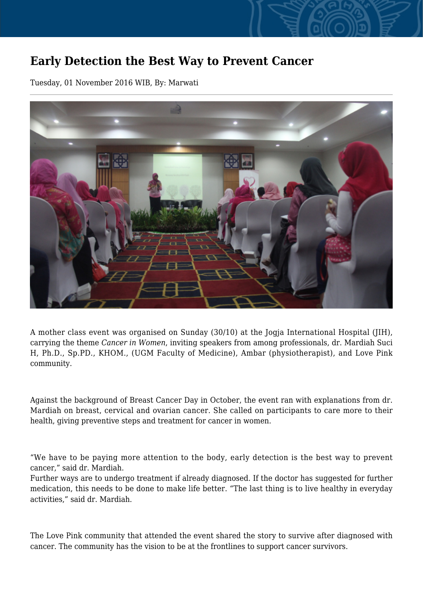## **Early Detection the Best Way to Prevent Cancer**

Tuesday, 01 November 2016 WIB, By: Marwati



A mother class event was organised on Sunday (30/10) at the Jogia International Hospital (JIH), carrying the theme *Cancer in Women*, inviting speakers from among professionals, dr. Mardiah Suci H, Ph.D., Sp.PD., KHOM., (UGM Faculty of Medicine), Ambar (physiotherapist), and Love Pink community.

Against the background of Breast Cancer Day in October, the event ran with explanations from dr. Mardiah on breast, cervical and ovarian cancer. She called on participants to care more to their health, giving preventive steps and treatment for cancer in women.

"We have to be paying more attention to the body, early detection is the best way to prevent cancer," said dr. Mardiah.

Further ways are to undergo treatment if already diagnosed. If the doctor has suggested for further medication, this needs to be done to make life better. "The last thing is to live healthy in everyday activities," said dr. Mardiah.

The Love Pink community that attended the event shared the story to survive after diagnosed with cancer. The community has the vision to be at the frontlines to support cancer survivors.